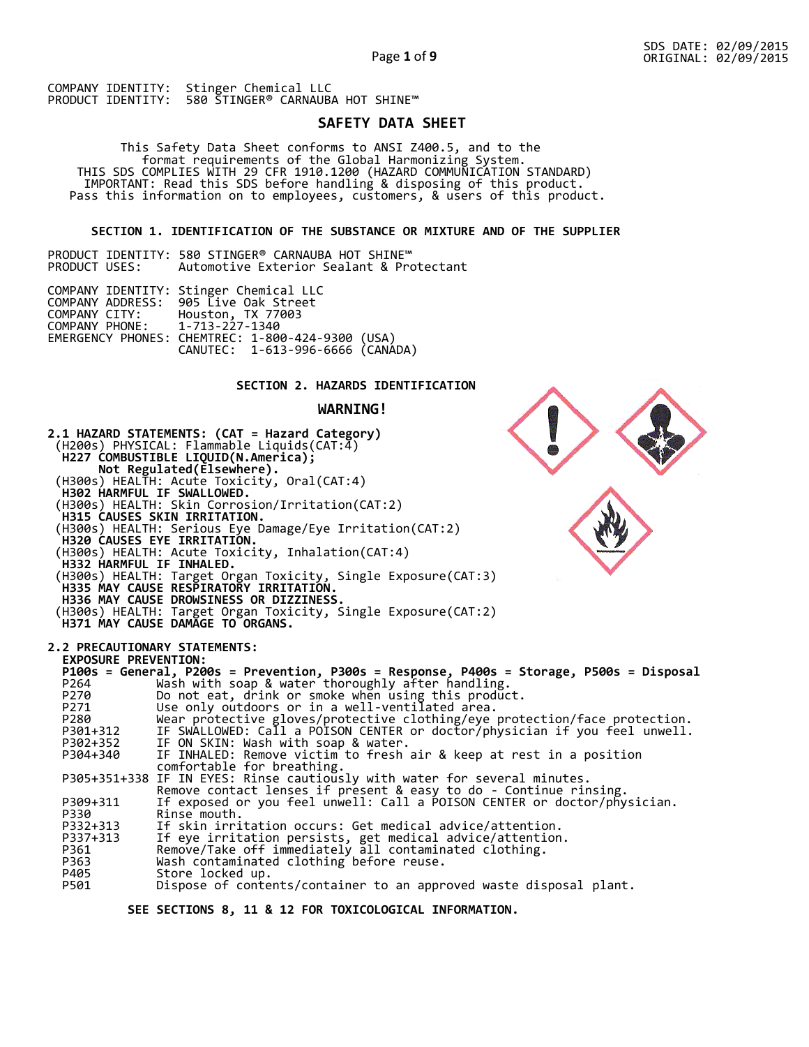# **SAFETY DATA SHEET**

 This Safety Data Sheet conforms to ANSI Z400.5, and to the format requirements of the Global Harmonizing System. THIS SDS COMPLIES WITH 29 CFR 1910.1200 (HAZARD COMMUNICATION STANDARD) IMPORTANT: Read this SDS before handling & disposing of this product. Pass this information on to employees, customers, & users of this product.

# **SECTION 1. IDENTIFICATION OF THE SUBSTANCE OR MIXTURE AND OF THE SUPPLIER**

PRODUCT IDENTITY: 580 STINGER® CARNAUBA HOT SHINE™<br>PRODUCT USES: Automotive Exterior Sealant & Pro Automotive Exterior Sealant & Protectant

|                               | COMPANY IDENTITY: Stinger Chemical LLC                                               |  |
|-------------------------------|--------------------------------------------------------------------------------------|--|
|                               | COMPANY ADDRESS: 905 Live Oak Street                                                 |  |
| COMPANY CITY:                 | Houston, TX 77003                                                                    |  |
| COMPANY PHONE: 1-713-227-1340 |                                                                                      |  |
|                               |                                                                                      |  |
|                               | EMERGENCY PHONES: CHEMTREC: 1-800-424-9300 (USA)<br>CANUTEC: 1-613-996-6666 (CANADA) |  |

# **SECTION 2. HAZARDS IDENTIFICATION**

## **WARNING!**



 **SEE SECTIONS 8, 11 & 12 FOR TOXICOLOGICAL INFORMATION.**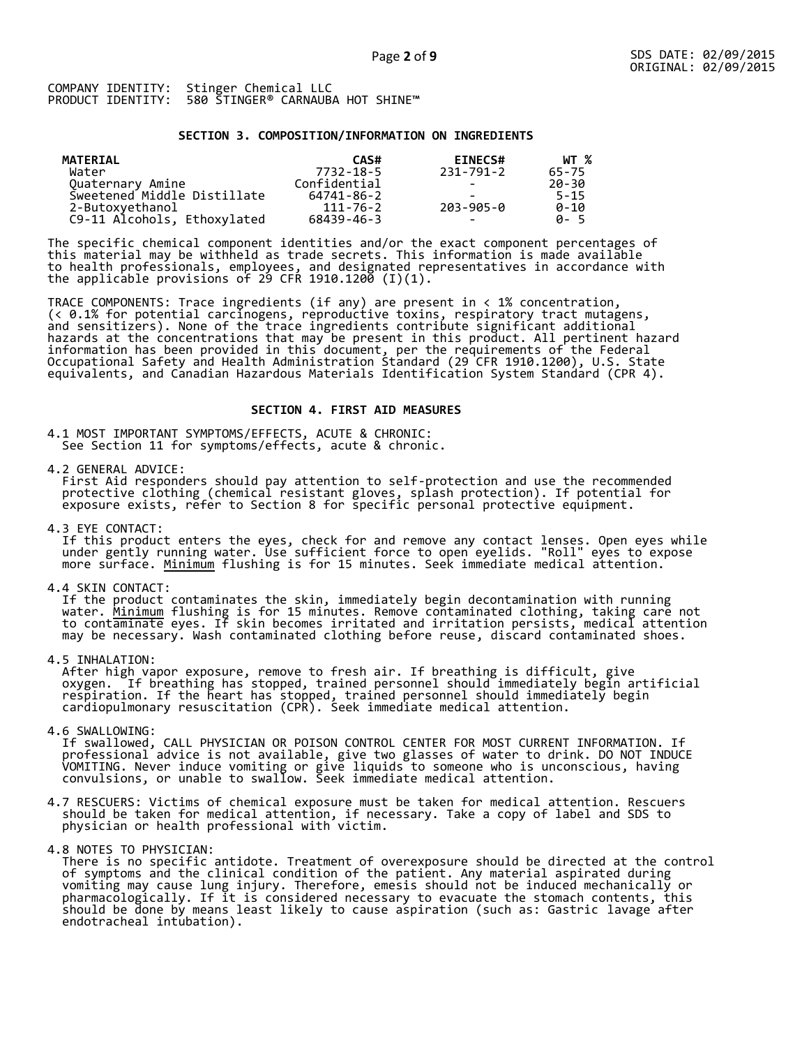## **SECTION 3. COMPOSITION/INFORMATION ON INGREDIENTS**

| MATERIAL                    | CAS#         | <b>EINECS#</b>           | WT %     |
|-----------------------------|--------------|--------------------------|----------|
| Water                       | 7732-18-5    | 231-791-2                | 65-75    |
| Quaternary Amine            | Confidential |                          | 20-30    |
| Sweetened Middle Distillate | 64741-86-2   |                          | $5 - 15$ |
| 2-Butoxyethanol             | 111-76-2     | 203-905-0                | $0 - 10$ |
| C9-11 Alcohols, Ethoxylated | 68439-46-3   | $\overline{\phantom{0}}$ | A-5      |

The specific chemical component identities and/or the exact component percentages of this material may be withheld as trade secrets. This information is made available to health professionals, employees, and designated representatives in accordance with the applicable provisions of 29 CFR 1910.1200̄ (I)(1).  $\overline{\phantom{a}}$ 

TRACE COMPONENTS: Trace ingredients (if any) are present in < 1% concentration, (< 0.1% for potential carcinogens, reproductive toxins, respiratory tract mutagens, and sensitizers). None of the trace ingredients contribute significant additional hazards at the concentrations that may be present in this product. All pertinent hazard information has been provided in this document, per the requirements of the Federal Occupational Safety and Health Administration Standard (29 CFR 1910.1200), U.S. State equivalents, and Canadian Hazardous Materials Identification System Standard (CPR 4).

## **SECTION 4. FIRST AID MEASURES**

4.1 MOST IMPORTANT SYMPTOMS/EFFECTS, ACUTE & CHRONIC: See Section 11 for symptoms/effects, acute & chronic.

4.2 GENERAL ADVICE:

 First Aid responders should pay attention to self-protection and use the recommended protective clothing (chemical resistant gloves, splash protection). If potential for exposure exists, refer to Section 8 for specific personal protective equipment.

4.3 EYE CONTACT:

 If this product enters the eyes, check for and remove any contact lenses. Open eyes while under gently running water. Use sufficient force to open eyelids. "Roll" eyes to expose more surface. <u>Minimum</u> flushing is for 15 minutes. Seek immediate medical attention.

4.4 SKIN CONTACT:

 If the product contaminates the skin, immediately begin decontamination with running water. <u>Minimum</u> flushing is for 15 minutes. Remove contaminated clothing, taking care not to contaminate eyes. If skin becomes irritated and irritation persists, medical attention may be necessary. Wash contaminated clothing before reuse, discard contaminated shoes.

4.5 INHALATION:

 After high vapor exposure, remove to fresh air. If breathing is difficult, give oxygen. If breathing has stopped, trained personnel should immediately begin artificial respiration. If the heart has stopped, trained personnel should immediately begin cardiopulmonary resuscitation (CPR). Seek immediate medical attention.

4.6 SWALLOWING:

 If swallowed, CALL PHYSICIAN OR POISON CONTROL CENTER FOR MOST CURRENT INFORMATION. If professional advice is not available, give two glasses of water to drink. DO NOT INDUCE VOMITING. Never induce vomiting or give liquids to someone who is unconscious, having convulsions, or unable to swallow. Seek immediate medical attention.

- 4.7 RESCUERS: Victims of chemical exposure must be taken for medical attention. Rescuers should be taken for medical attention, if necessary. Take a copy of label and SDS to physician or health professional with victim.
- 4.8 NOTES TO PHYSICIAN:

 There is no specific antidote. Treatment of overexposure should be directed at the control of symptoms and the clinical condition of the patient. Any material aspirated during vomiting may cause lung injury. Therefore, emesis should not be induced mechanically or pharmacologically. If it is considered necessary to evacuate the stomach contents, this should be done by means least likely to cause aspiration (such as: Gastric lavage after endotracheal intubation).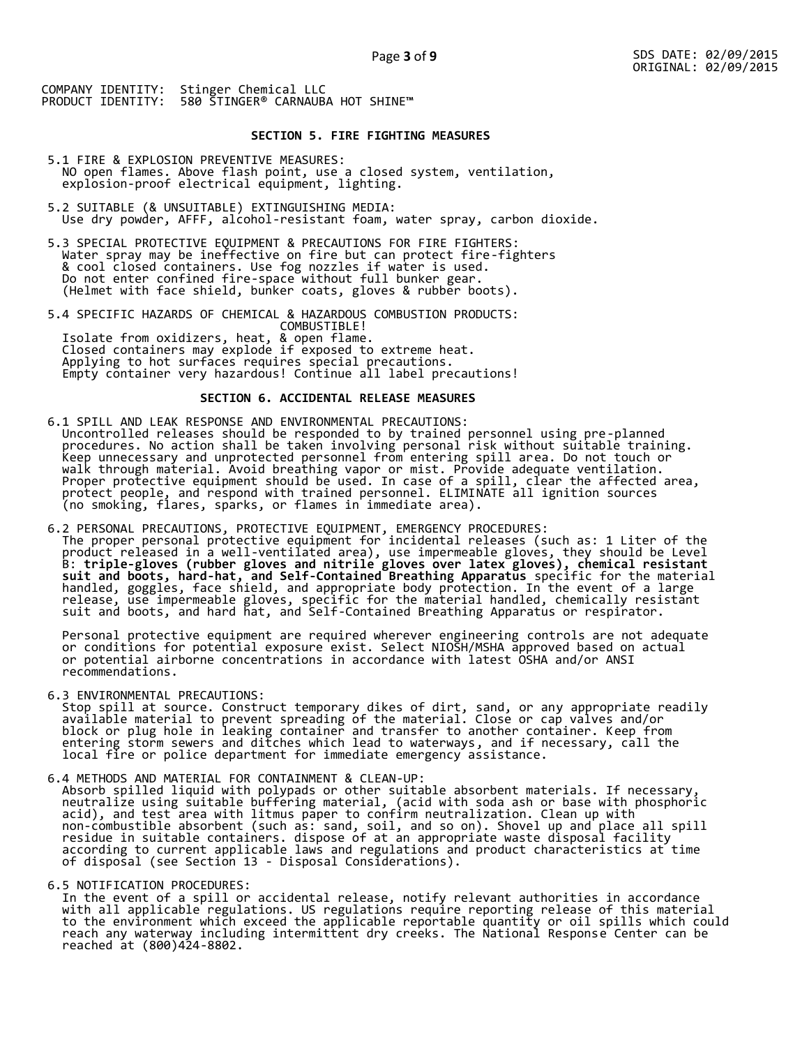# **SECTION 5. FIRE FIGHTING MEASURES**

- 5.1 FIRE & EXPLOSION PREVENTIVE MEASURES: NO open flames. Above flash point, use a closed system, ventilation, explosion-proof electrical equipment, lighting.
- 5.2 SUITABLE (& UNSUITABLE) EXTINGUISHING MEDIA: Use dry powder, AFFF, alcohol-resistant foam, water spray, carbon dioxide.
- 5.3 SPECIAL PROTECTIVE EQUIPMENT & PRECAUTIONS FOR FIRE FIGHTERS: Water spray may be ineffective on fire but can protect fire-fighters & cool closed containers. Use fog nozzles if water is used. Do not enter confined fire-space without full bunker gear. (Helmet with face shield, bunker coats, gloves & rubber boots).
- 5.4 SPECIFIC HAZARDS OF CHEMICAL & HAZARDOUS COMBUSTION PRODUCTS: COMBUSTIBLE! Isolate from oxidizers, heat, & open flame. Closed containers may explode if exposed to extreme heat. Applying to hot surfaces requires special precautions. Empty container very hazardous! Continue all label precautions!

# **SECTION 6. ACCIDENTAL RELEASE MEASURES**

- 6.1 SPILL AND LEAK RESPONSE AND ENVIRONMENTAL PRECAUTIONS: Uncontrolled releases should be responded to by trained personnel using pre-planned procedures. No action shall be taken involving personal risk without suitable training. Keep unnecessary and unprotected personnel from entering spill area. Do not touch or walk through material. Avoid breathing vapor or mist. Provide adequate ventilation. Proper protective equipment should be used. In case of a spill, clear the affected area, protect people, and respond with trained personnel. ELIMINATE all ignition sources (no smoking, flares, sparks, or flames in immediate area).
- 6.2 PERSONAL PRECAUTIONS, PROTECTIVE EQUIPMENT, EMERGENCY PROCEDURES: The proper personal protective equipment for incidental releases (such as: 1 Liter of the product released in a well-ventilated area), use impermeable gloves, they should be Level B: **triple-gloves (rubber gloves and nitrile gloves over latex gloves), chemical resistant suit and boots, hard-hat, and Self-Contained Breathing Apparatus** specific for the material handled, goggles, face shield, and appropriate body protection. In the event of a large release, use impermeable gloves, specific for the material handled, chemically resistant suit and boots, and hard hat, and Self-Contained Breathing Apparatus or respirator.

 Personal protective equipment are required wherever engineering controls are not adequate or conditions for potential exposure exist. Select NIOSH/MSHA approved based on actual or potential airborne concentrations in accordance with latest OSHA and/or ANSI recommendations.

6.3 ENVIRONMENTAL PRECAUTIONS:

 Stop spill at source. Construct temporary dikes of dirt, sand, or any appropriate readily available material to prevent spreading of the material. Close or cap valves and/or block or plug hole in leaking container and transfer to another container. Keep from entering storm sewers and ditches which lead to waterways, and if necessary, call the local fire or police department for immediate emergency assistance.

6.4 METHODS AND MATERIAL FOR CONTAINMENT & CLEAN-UP:

 Absorb spilled liquid with polypads or other suitable absorbent materials. If necessary, neutralize using suitable buffering material, (acid with soda ash or base with phosphoric acid), and test area with litmus paper to confirm neutralization. Clean up with non-combustible absorbent (such as: sand, soil, and so on). Shovel up and place all spill residue in suitable containers. dispose of at an appropriate waste disposal facility according to current applicable laws and regulations and product characteristics at time of disposal (see Section 13 - Disposal Considerations).

6.5 NOTIFICATION PROCEDURES:

 In the event of a spill or accidental release, notify relevant authorities in accordance with all applicable regulations. US regulations require reporting release of this material to the environment which exceed the applicable reportable quantity or oil spills which could reach any waterway including intermittent dry creeks. The National Response Center can be reached at (800)424-8802.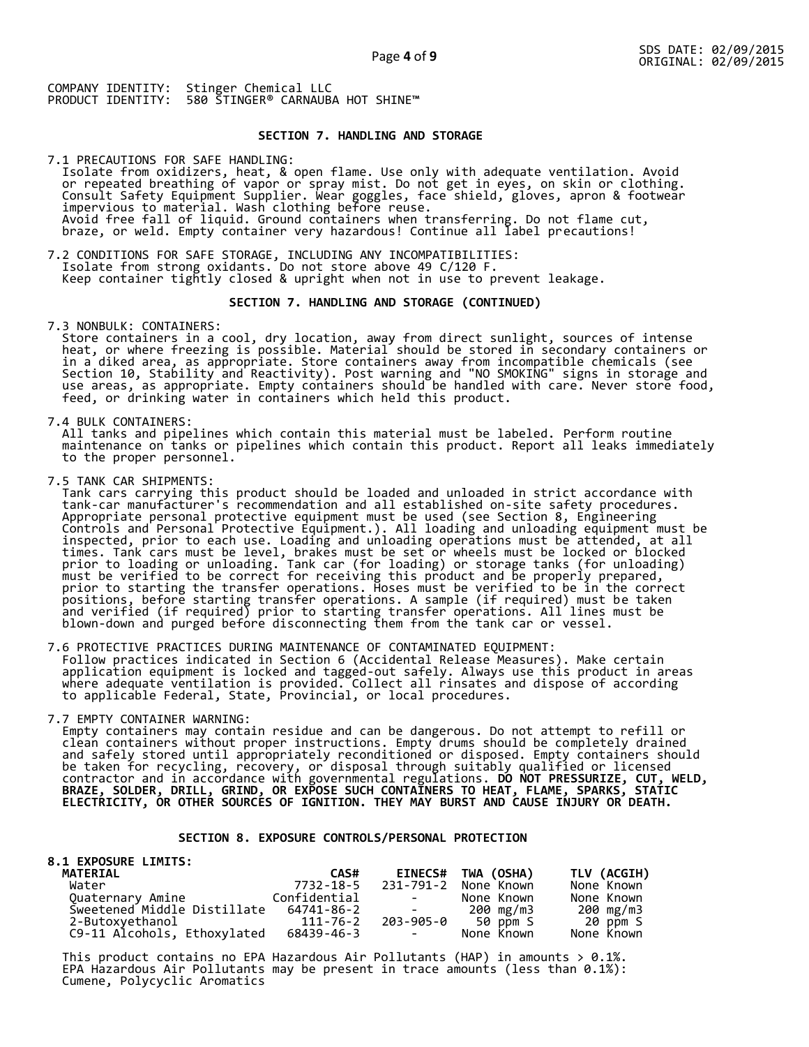# **SECTION 7. HANDLING AND STORAGE**

7.1 PRECAUTIONS FOR SAFE HANDLING: Isolate from oxidizers, heat, & open flame. Use only with adequate ventilation. Avoid or repeated breathing of vapor or spray mist. Do not get in eyes, on skin or clothing. Consult Safety Equipment Supplier. Wear goggles, face shield, gloves, apron & footwear impervious to material. Wash clothing before reuse. Avoid free fall of liquid. Ground containers when transferring. Do not flame cut, braze, or weld. Empty container very hazardous! Continue all label precautions!

7.2 CONDITIONS FOR SAFE STORAGE, INCLUDING ANY INCOMPATIBILITIES: Isolate from strong oxidants. Do not store above 49 C/120 F. Keep container tightly closed & upright when not in use to prevent leakage.

## **SECTION 7. HANDLING AND STORAGE (CONTINUED)**

7.3 NONBULK: CONTAINERS:

 Store containers in a cool, dry location, away from direct sunlight, sources of intense heat, or where freezing is possible. Material should be stored in secondary containers or in a diked area, as appropriate. Store containers away from incompatible chemicals (see Section 10, Stability and Reactivity). Post warning and "NO SMOKING" signs in storage and use areas, as appropriate. Empty containers should be handled with care. Never store food, feed, or drinking water in containers which held this product.

7.4 BULK CONTAINERS:

 All tanks and pipelines which contain this material must be labeled. Perform routine maintenance on tanks or pipelines which contain this product. Report all leaks immediately to the proper personnel.

7.5 TANK CAR SHIPMENTS:

 Tank cars carrying this product should be loaded and unloaded in strict accordance with tank-car manufacturer's recommendation and all established on-site safety procedures. Appropriate personal protective equipment must be used (see Section 8, Engineering Controls and Personal Protective Equipment.). All loading and unloading equipment must be inspected, prior to each use. Loading and unloading operations must be attended, at all times. Tank cars must be level, brakes must be set or wheels must be locked or blocked prior to loading or unloading. Tank car (for loading) or storage tanks (for unloading) must be verified to be correct for receiving this product and be properly prepared, prior to starting the transfer operations. Hoses must be verified to be in the correct positions, before starting transfer operations. A sample (if required) must be taken and verified (if required) prior to starting transfer operations. All lines must be blown-down and purged before disconnecting them from the tank car or vessel.

7.6 PROTECTIVE PRACTICES DURING MAINTENANCE OF CONTAMINATED EQUIPMENT: Follow practices indicated in Section 6 (Accidental Release Measures). Make certain application equipment is locked and tagged-out safely. Always use this product in areas where adequate ventilation is provided. Collect all rinsates and dispose of according to applicable Federal, State, Provincial, or local procedures.

7.7 EMPTY CONTAINER WARNING:

 Empty containers may contain residue and can be dangerous. Do not attempt to refill or clean containers without proper instructions. Empty drums should be completely drained and safely stored until appropriately reconditioned or disposed. Empty containers should be taken for recycling, recovery, or disposal through suitably qualified or licensed contractor and in accordance with governmental regulations. **DO NOT PRESSURIZE, CUT, WELD, BRAZE, SOLDER, DRILL, GRIND, OR EXPOSE SUCH CONTAINERS TO HEAT, FLAME, SPARKS, STATIC ELECTRICITY, OR OTHER SOURCES OF IGNITION. THEY MAY BURST AND CAUSE INJURY OR DEATH.**

# **SECTION 8. EXPOSURE CONTROLS/PERSONAL PROTECTION**

#### **8.1 EXPOSURE LIMITS: MATERIAL CAS# EINECS# TWA (OSHA) TLV (ACGIH)**  7732-18-5 231-791-2 None Known None Known<br>Confidential - None Known None Known Quaternary Amine Confidential - None Known None Known Sweetened Middle Distillate 64741-86-2 - 200 mg/m3 200 mg/m3 2-Butoxyethanol 111-76-2 203-905-0 50 ppm S 20 ppm S C9-11 Alcohols, Ethoxylated

This product contains no EPA Hazardous Air Pollutants (HAP) in amounts  $> 0.1\%$ . EPA Hazardous Air Pollutants may be present in trace amounts (less than 0.1%): Cumene, Polycyclic Aromatics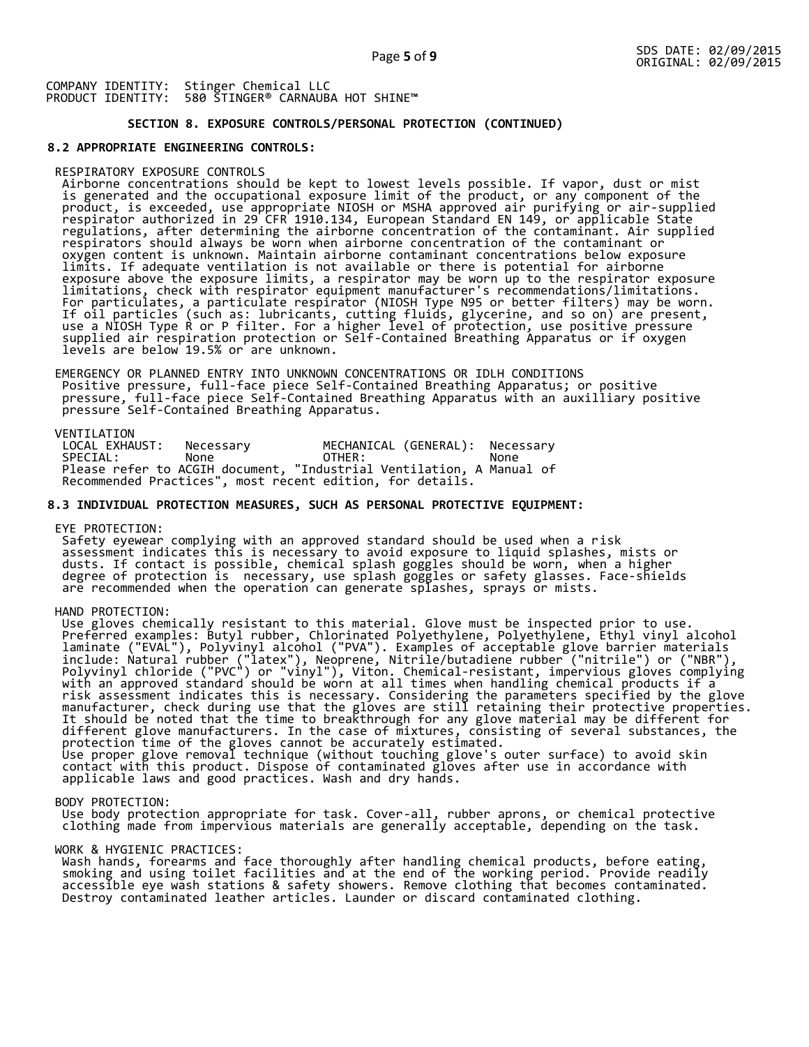# **SECTION 8. EXPOSURE CONTROLS/PERSONAL PROTECTION (CONTINUED)**

## **8.2 APPROPRIATE ENGINEERING CONTROLS:**

#### RESPIRATORY EXPOSURE CONTROLS

 Airborne concentrations should be kept to lowest levels possible. If vapor, dust or mist is generated and the occupational exposure limit of the product, or any component of the product, is exceeded, use appropriate NIOSH or MSHA approved air purifying or air-supplied respirator authorized in 29 CFR 1910.134, European Standard EN 149, or applicable State regulations, after determining the airborne concentration of the contaminant. Air supplied respirators should always be worn when airborne concentration of the contaminant or oxygen content is unknown. Maintain airborne contaminant concentrations below exposure limits. If adequate ventilation is not available or there is potential for airborne exposure above the exposure limits, a respirator may be worn up to the respirator exposure limitations, check with respirator equipment manufacturer's recommendations/limitations. For particulates, a particulate respirator (NIOSH Type N95 or better filters) may be worn. If oil particles (such as: lubricants, cutting fluids, glycerine, and so on) are present, use a NIOSH Type R or P filter. For a higher level of protection, use positive pressure supplied air respiration protection or Self-Contained Breathing Apparatus or if oxygen levels are below 19.5% or are unknown.

 EMERGENCY OR PLANNED ENTRY INTO UNKNOWN CONCENTRATIONS OR IDLH CONDITIONS Positive pressure, full-face piece Self-Contained Breathing Apparatus; or positive pressure, full-face piece Self-Contained Breathing Apparatus with an auxilliary positive pressure Self-Contained Breathing Apparatus.

VENTILATION<br>LOCAL EXHAUST: LOCAL EXHAUST: Necessary MECHANICAL (GENERAL): Necessary SPECIAL: None OTHER: None Please refer to ACGIH document, "Industrial Ventilation, A Manual of Recommended Practices", most recent edition, for details.

#### **8.3 INDIVIDUAL PROTECTION MEASURES, SUCH AS PERSONAL PROTECTIVE EQUIPMENT:**

EYE PROTECTION:

 Safety eyewear complying with an approved standard should be used when a risk assessment indicates this is necessary to avoid exposure to liquid splashes, mists or dusts. If contact is possible, chemical splash goggles should be worn, when a higher degree of protection is necessary, use splash goggles or safety glasses. Face-shields are recommended when the operation can generate splashes, sprays or mists.

HAND PROTECTION:

 Use gloves chemically resistant to this material. Glove must be inspected prior to use. Preferred examples: Butyl rubber, Chlorinated Polyethylene, Polyethylene, Ethyl vinyl alcohol laminate ("EVAL"), Polyvinyl alcohol ("PVA"). Examples of acceptable glove barrier materials include: Natural rubber ("latex"), Neoprene, Nitrile/butadiene rubber ("nitrile") or ("NBR"), Polyvinyl chloride ("PVC") or "vinyl"), Viton. Chemical-resistant, impervious gloves complying with an approved standard should be worn at all times when handling chemical products if a risk assessment indicates this is necessary. Considering the parameters specified by the glove manufacturer, check during use that the gloves are still retaining their protective properties. It should be noted that the time to breakthrough for any glove material may be different for different glove manufacturers. In the case of mixtures, consisting of several substances, the protection time of the gloves cannot be accurately estimated. Use proper glove removal technique (without touching glove's outer surface) to avoid skin contact with this product. Dispose of contaminated gloves after use in accordance with applicable laws and good practices. Wash and dry hands.

#### BODY PROTECTION:

 Use body protection appropriate for task. Cover-all, rubber aprons, or chemical protective clothing made from impervious materials are generally acceptable, depending on the task.

#### WORK & HYGIENIC PRACTICES:

 Wash hands, forearms and face thoroughly after handling chemical products, before eating, smoking and using toilet facilities and at the end of the working period. Provide readily accessible eye wash stations & safety showers. Remove clothing that becomes contaminated. Destroy contaminated leather articles. Launder or discard contaminated clothing.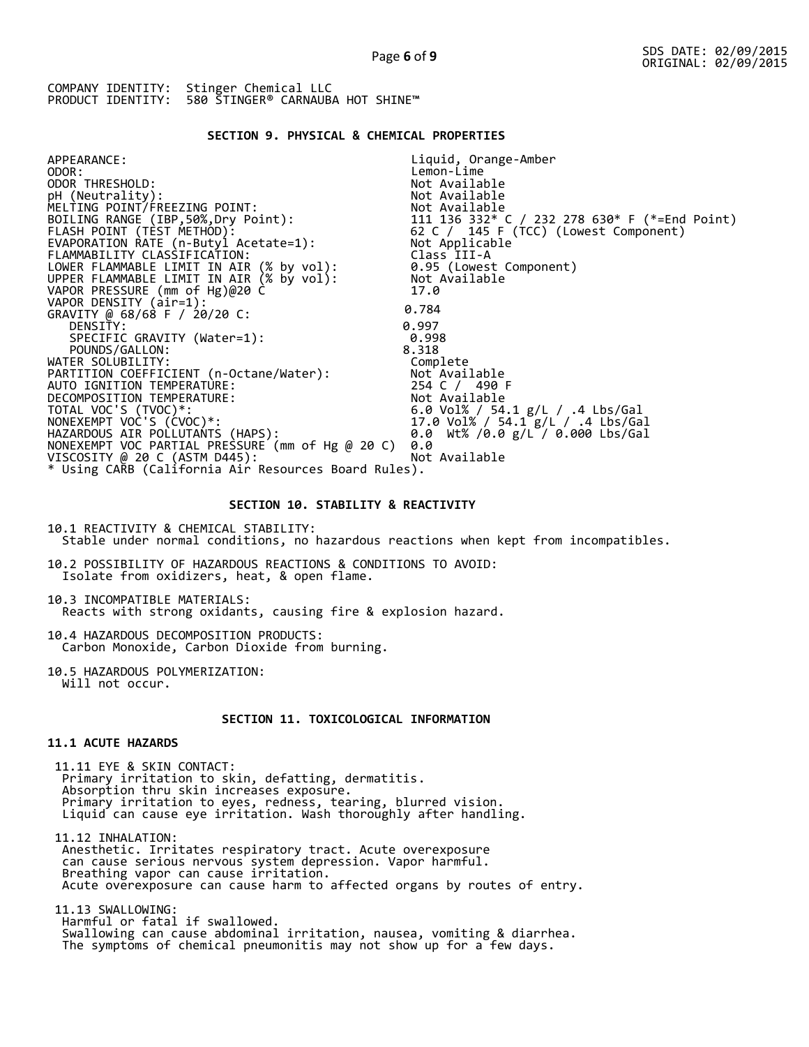# **SECTION 9. PHYSICAL & CHEMICAL PROPERTIES**

| APPEARANCE:                                                                          | Liquid, Orange-Amber                                                                          |
|--------------------------------------------------------------------------------------|-----------------------------------------------------------------------------------------------|
| ODOR:                                                                                | Lemon-Lime                                                                                    |
| ODOR THRESHOLD:                                                                      | Not Available                                                                                 |
| pH (Neutrality):                                                                     | Not Available                                                                                 |
| MELTING POINT/FREEZING POINT:                                                        | Not Available                                                                                 |
| BOILING RANGE (IBP,50%, Dry Point):                                                  |                                                                                               |
| FLASH POINT (TEST METHOD):                                                           | 111  136  332* C / 232  278  630* F (*=End Point)<br>62  C /  145  F (TCC) (Lowest Component) |
| EVAPORATION RATE (n-Butyl Acetate=1):                                                | Not Applicable                                                                                |
| FLAMMABILITY CLASSIFICATION:                                                         | Class III-A                                                                                   |
| LOWER FLAMMABLE LIMIT IN AIR (% by vol):<br>UPPER FLAMMABLE LIMIT IN AIR (% by vol): | 0.95 (Lowest Component)                                                                       |
|                                                                                      | Not Available                                                                                 |
| VAPOR PRESSURE (mm of Hg)@20 C                                                       | 17.0                                                                                          |
| VAPOR DENSITY (air=1):                                                               |                                                                                               |
| GRAVITY @ 68/68 F / 20/20 C:                                                         | 0.784                                                                                         |
| DENSITY:                                                                             | 0.997                                                                                         |
| SPECIFIC GRAVITY (Water=1):                                                          | 0.998                                                                                         |
| POUNDS/GALLON:                                                                       | 8.318                                                                                         |
| WATER SOLUBILITY:                                                                    | Complete                                                                                      |
| PARTITION COEFFICIENT (n-Octane/Water):                                              | Not Available                                                                                 |
| AUTO IGNITION TEMPERATURE:                                                           | 254 C / 490 F                                                                                 |
| DECOMPOSITION TEMPERATURE:                                                           | Not Available                                                                                 |
| TOTAL VOC'S (TVOC)*:                                                                 | 6.0 Vol% / 54.1 g/L / .4 Lbs/Gal                                                              |
| NONEXEMPT VOC'S (CVOC)*:                                                             | 17.0 Vol% / 54.1 g/L / .4 Lbs/Gal                                                             |
| HAZARDOUS AIR POLLUTANTS (HAPS):                                                     | 0.0 Wt% /0.0 g/L / 0.000 Lbs/Gal                                                              |
| NONEXEMPT VOC PARTIAL PRESSURE (mm of Hg @ 20 C)                                     | 0.0                                                                                           |
| VISCOSITY @ 20 C (ASTM D445):                                                        | Not Available                                                                                 |
| * Using CARB (California Air Resources Board Rules).                                 |                                                                                               |
|                                                                                      |                                                                                               |

# **SECTION 10. STABILITY & REACTIVITY**

10.1 REACTIVITY & CHEMICAL STABILITY: Stable under normal conditions, no hazardous reactions when kept from incompatibles.

10.2 POSSIBILITY OF HAZARDOUS REACTIONS & CONDITIONS TO AVOID: Isolate from oxidizers, heat, & open flame.

10.3 INCOMPATIBLE MATERIALS: Reacts with strong oxidants, causing fire & explosion hazard.

10.4 HAZARDOUS DECOMPOSITION PRODUCTS: Carbon Monoxide, Carbon Dioxide from burning.

10.5 HAZARDOUS POLYMERIZATION: Will not occur.

# **SECTION 11. TOXICOLOGICAL INFORMATION**

# **11.1 ACUTE HAZARDS**

 11.11 EYE & SKIN CONTACT: Primary irritation to skin, defatting, dermatitis. Absorption thru skin increases exposure. Primary irritation to eyes, redness, tearing, blurred vision. Liquid can cause eye irritation. Wash thoroughly after handling.

 11.12 INHALATION: Anesthetic. Irritates respiratory tract. Acute overexposure can cause serious nervous system depression. Vapor harmful. Breathing vapor can cause irritation. Acute overexposure can cause harm to affected organs by routes of entry.

 11.13 SWALLOWING: Harmful or fatal if swallowed. Swallowing can cause abdominal irritation, nausea, vomiting & diarrhea. The symptoms of chemical pneumonitis may not show up for a few days.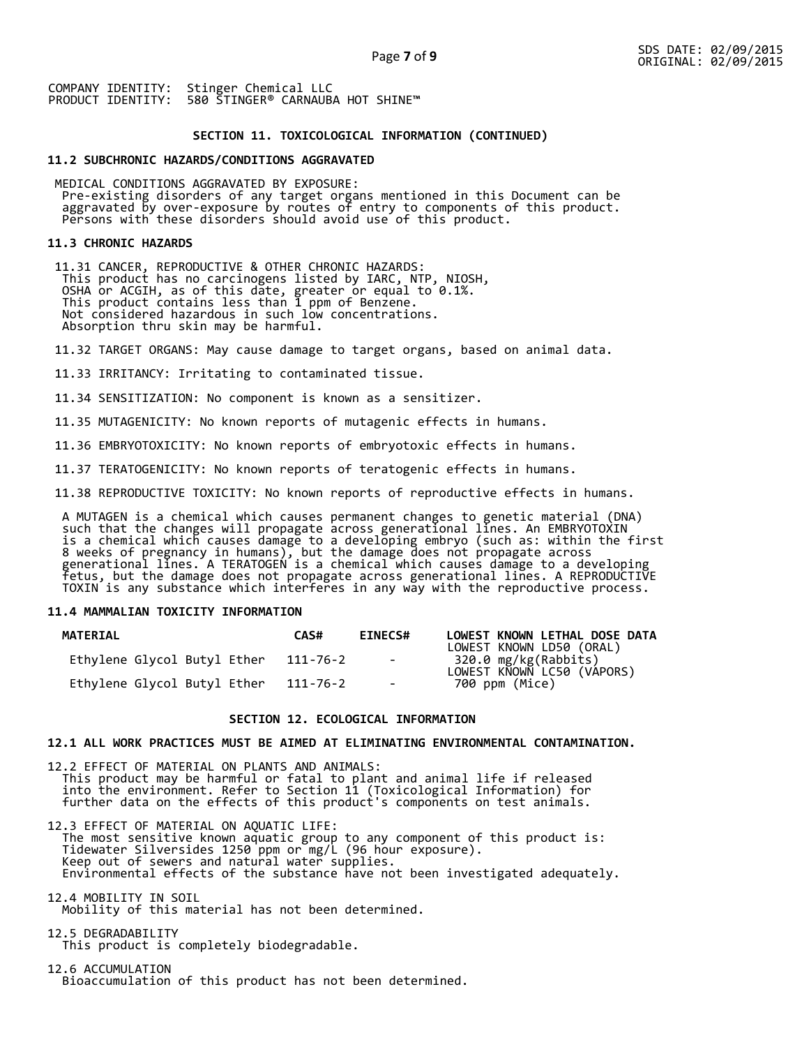## **SECTION 11. TOXICOLOGICAL INFORMATION (CONTINUED)**

### **11.2 SUBCHRONIC HAZARDS/CONDITIONS AGGRAVATED**

 MEDICAL CONDITIONS AGGRAVATED BY EXPOSURE: Pre-existing disorders of any target organs mentioned in this Document can be aggravated by over-exposure by routes of entry to components of this product. Persons with these disorders should avoid use of this product.

#### **11.3 CHRONIC HAZARDS**

 11.31 CANCER, REPRODUCTIVE & OTHER CHRONIC HAZARDS: This product has no carcinogens listed by IARC, NTP, NIOSH, OSHA or ACGIH, as of this date, greater or equal to 0.1%. This product contains less than 1 ppm of Benzene. Not considered hazardous in such low concentrations. Absorption thru skin may be harmful.

11.32 TARGET ORGANS: May cause damage to target organs, based on animal data.

11.33 IRRITANCY: Irritating to contaminated tissue.

11.34 SENSITIZATION: No component is known as a sensitizer.

11.35 MUTAGENICITY: No known reports of mutagenic effects in humans.

11.36 EMBRYOTOXICITY: No known reports of embryotoxic effects in humans.

11.37 TERATOGENICITY: No known reports of teratogenic effects in humans.

11.38 REPRODUCTIVE TOXICITY: No known reports of reproductive effects in humans.

 A MUTAGEN is a chemical which causes permanent changes to genetic material (DNA) such that the changes will propagate across generational lines. An EMBRYOTOXIN is a chemical which causes damage to a developing embryo (such as: within the first 8 weeks of pregnancy in humans), but the damage does not propagate across generational lines. A TERATOGEN is a chemical which causes damage to a developing fetus, but the damage does not propagate across generational lines. A REPRODUCTIVE TOXIN is any substance which interferes in any way with the reproductive process.

# **11.4 MAMMALIAN TOXICITY INFORMATION**

| <b>MATERIAL</b>             | CAS#     | <b>EINECS#</b> | LOWEST KNOWN LETHAL DOSE DATA<br>LOWEST KNOWN LD50 (ORAL) |
|-----------------------------|----------|----------------|-----------------------------------------------------------|
| Ethylene Glycol Butyl Ether | 111-76-2 | $\sim$ $-$     | 320.0 mg/kg(Rabbits)<br>LOWEST KNOWN LC50 (VAPORS)        |
| Ethylene Glycol Butyl Ether | 111-76-2 | $\sim$         | 700 ppm (Mice)                                            |

## **SECTION 12. ECOLOGICAL INFORMATION**

#### **12.1 ALL WORK PRACTICES MUST BE AIMED AT ELIMINATING ENVIRONMENTAL CONTAMINATION.**

12.2 EFFECT OF MATERIAL ON PLANTS AND ANIMALS: This product may be harmful or fatal to plant and animal life if released into the environment. Refer to Section 11 (Toxicological Information) for further data on the effects of this product's components on test animals.

12.3 EFFECT OF MATERIAL ON AQUATIC LIFE: The most sensitive known aquatic group to any component of this product is: Tidewater Silversides 1250 ppm or mg/L (96 hour exposure). Keep out of sewers and natural water supplies. Environmental effects of the substance have not been investigated adequately.

12.4 MOBILITY IN SOIL Mobility of this material has not been determined.

12.5 DEGRADABILITY This product is completely biodegradable.

12.6 ACCUMULATION Bioaccumulation of this product has not been determined.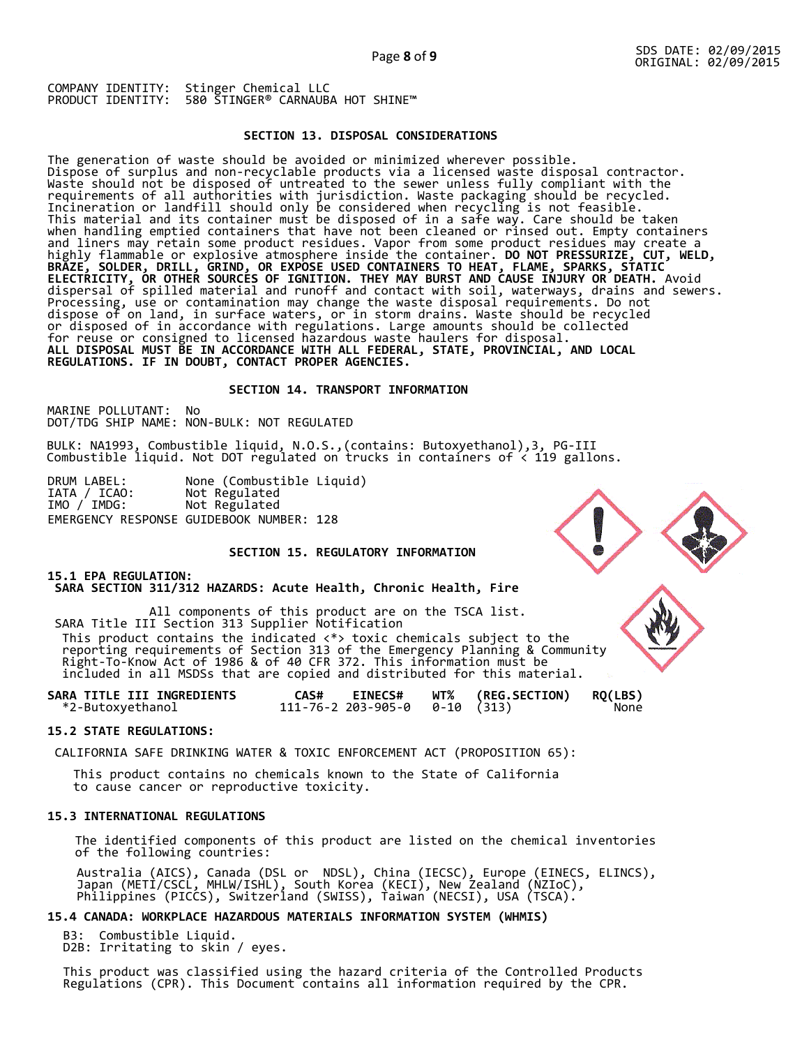# **SECTION 13. DISPOSAL CONSIDERATIONS**

The generation of waste should be avoided or minimized wherever possible. Dispose of surplus and non-recyclable products via a licensed waste disposal contractor. Waste should not be disposed of untreated to the sewer unless fully compliant with the requirements of all authorities with jurisdiction. Waste packaging should be recycled. Incineration or landfill should only be considered when recycling is not feasible. This material and its container must be disposed of in a safe way. Care should be taken when handling emptied containers that have not been cleaned or rinsed out. Empty containers and liners may retain some product residues. Vapor from some product residues may create a highly flammable or explosive atmosphere inside the container. **DO NOT PRESSURIZE, CUT, WELD, BRAZE, SOLDER, DRILL, GRIND, OR EXPOSE USED CONTAINERS TO HEAT, FLAME, SPARKS, STATIC ELECTRICITY, OR OTHER SOURCES OF IGNITION. THEY MAY BURST AND CAUSE INJURY OR DEATH.** Avoid dispersal of spilled material and runoff and contact with soil, waterways, drains and sewers. Processing, use or contamination may change the waste disposal requirements. Do not dispose of on land, in surface waters, or in storm drains. Waste should be recycled or disposed of in accordance with regulations. Large amounts should be collected for reuse or consigned to licensed hazardous waste haulers for disposal. **ALL DISPOSAL MUST BE IN ACCORDANCE WITH ALL FEDERAL, STATE, PROVINCIAL, AND LOCAL REGULATIONS. IF IN DOUBT, CONTACT PROPER AGENCIES.** 

## **SECTION 14. TRANSPORT INFORMATION**

MARINE POLLUTANT: No DOT/TDG SHIP NAME: NON-BULK: NOT REGULATED

BULK: NA1993, Combustible liquid, N.O.S.,(contains: Butoxyethanol),3, PG-III Combustible liquid. Not DOT regulated on trucks in containers of < 119 gallons.

DRUM LABEL: None (Combustible Liquid) IATA / ICAO: Not Regulated IATA / ICAO: Not Regulated<br>IMO / IMDG: Not Regulated EMERGENCY RESPONSE GUIDEBOOK NUMBER: 128

# **SECTION 15. REGULATORY INFORMATION**

### **15.1 EPA REGULATION: SARA SECTION 311/312 HAZARDS: Acute Health, Chronic Health, Fire**

All components of this product are on the TSCA list. SARA Title III Section 313 Supplier Notification This product contains the indicated <\*> toxic chemicals subject to the reporting requirements of Section 313 of the Emergency Planning & Community Right-To-Know Act of 1986 & of 40 CFR 372. This information must be included in all MSDSs that are copied and distributed for this material.

| SARA TITLE III INGREDIENTS | <b>EINECS#</b><br>CAS#                 | <b>WT% (REG.SECTION)</b> | <b>RQ(LBS)</b> |
|----------------------------|----------------------------------------|--------------------------|----------------|
| *2-Butoxyethanol           | $111 - 76 - 2203 - 905 - 00 - 10(313)$ |                          | None           |

#### **15.2 STATE REGULATIONS:**

CALIFORNIA SAFE DRINKING WATER & TOXIC ENFORCEMENT ACT (PROPOSITION 65):

 This product contains no chemicals known to the State of California to cause cancer or reproductive toxicity.

# **15.3 INTERNATIONAL REGULATIONS**

 The identified components of this product are listed on the chemical inventories of the following countries:

 Australia (AICS), Canada (DSL or NDSL), China (IECSC), Europe (EINECS, ELINCS), Japan (METI/CSCL, MHLW/ISHL), South Korea (KECI), New Zealand (NZIoC), Philippines (PICCS), Switzerland (SWISS), Taiwan (NECSI), USA (TSCA).

# **15.4 CANADA: WORKPLACE HAZARDOUS MATERIALS INFORMATION SYSTEM (WHMIS)**

 B3: Combustible Liquid. D2B: Irritating to skin / eyes.

 This product was classified using the hazard criteria of the Controlled Products Regulations (CPR). This Document contains all information required by the CPR.